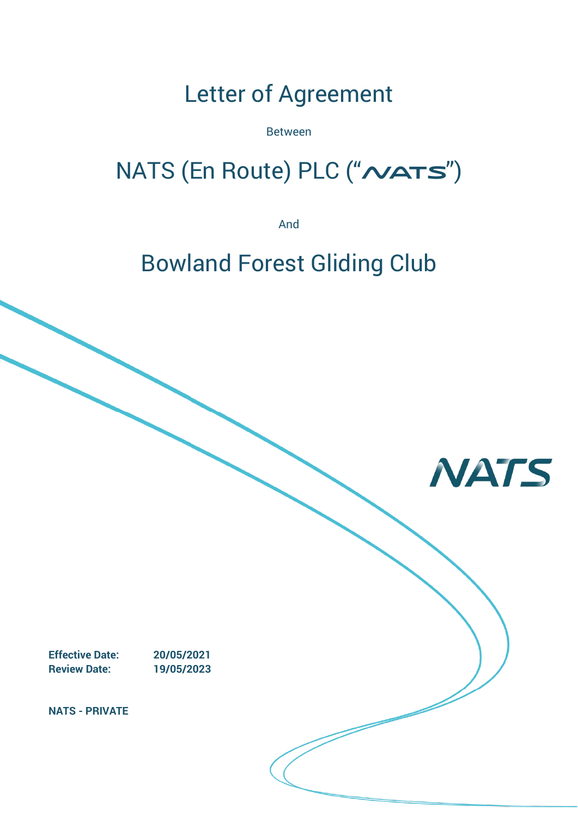# Letter of Agreement

Between

# NATS (En Route) PLC ("NATS")

And

# Bowland Forest Gliding Club

**NATS** 

**Effective Date: 20/05/2021 Review Date: 19/05/2023**

**NATS - PRIVATE**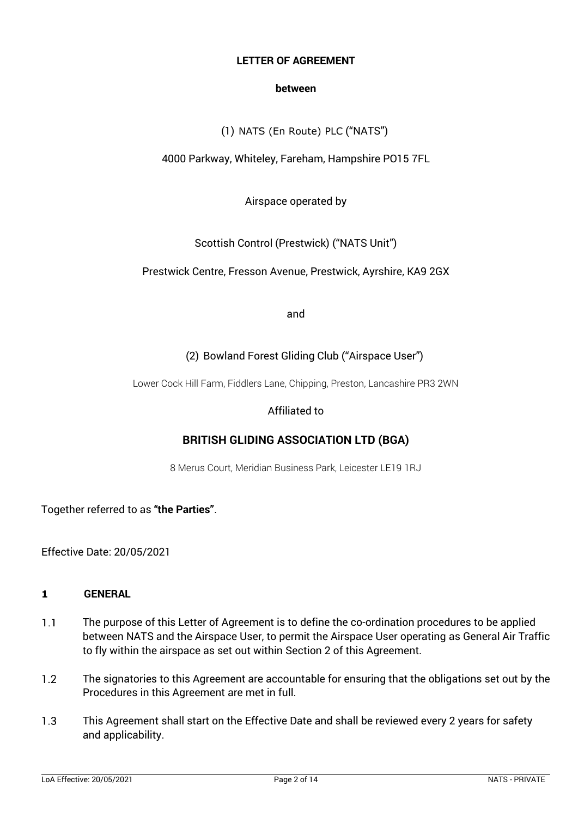#### **LETTER OF AGREEMENT**

#### **between**

(1) NATS (En Route) PLC ("NATS")

# 4000 Parkway, Whiteley, Fareham, Hampshire PO15 7FL

# Airspace operated by

# Scottish Control (Prestwick) ("NATS Unit")

# Prestwick Centre, Fresson Avenue, Prestwick, Ayrshire, KA9 2GX

and

# (2) Bowland Forest Gliding Club ("Airspace User")

Lower Cock Hill Farm, Fiddlers Lane, Chipping, Preston, Lancashire PR3 2WN

# Affiliated to

# **BRITISH GLIDING ASSOCIATION LTD (BGA)**

8 Merus Court, Meridian Business Park, Leicester LE19 1RJ

Together referred to as **"the Parties"**.

Effective Date: 20/05/2021

#### **1 GENERAL**

- $1.1$ The purpose of this Letter of Agreement is to define the co-ordination procedures to be applied between NATS and the Airspace User, to permit the Airspace User operating as General Air Traffic to fly within the airspace as set out within Section 2 of this Agreement.
- $1.2$ The signatories to this Agreement are accountable for ensuring that the obligations set out by the Procedures in this Agreement are met in full.
- $1.3$ This Agreement shall start on the Effective Date and shall be reviewed every 2 years for safety and applicability.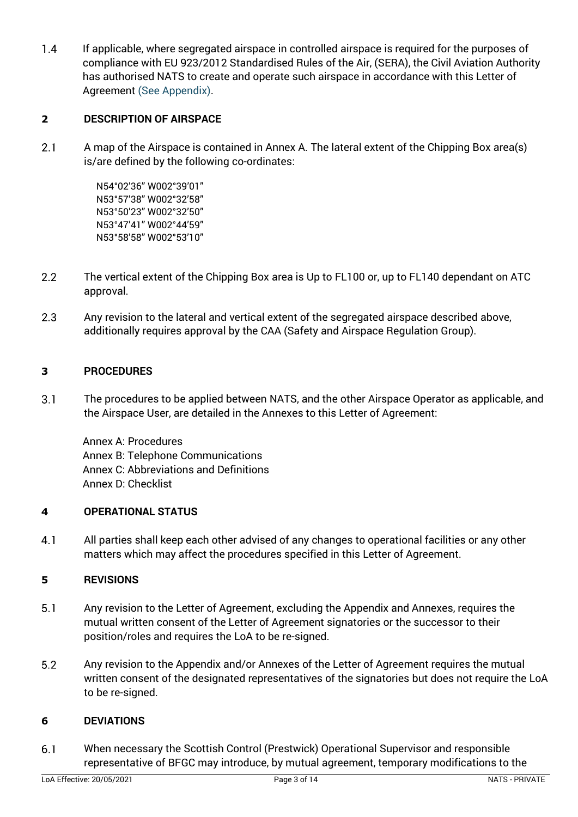$1.4$ If applicable, where segregated airspace in controlled airspace is required for the purposes of compliance with EU 923/2012 Standardised Rules of the Air, (SERA), the Civil Aviation Authority has authorised NATS to create and operate such airspace in accordance with this Letter of Agreement (See Appendix).

# **2 DESCRIPTION OF AIRSPACE**

 $2.1$ A map of the Airspace is contained in Annex A. The lateral extent of the Chipping Box area(s) is/are defined by the following co-ordinates:

> N54°02'36" W002°39'01" N53°57'38" W002°32'58" N53°50'23" W002°32'50" N53°47'41" W002°44'59" N53°58'58" W002°53'10"

- $2.2$ The vertical extent of the Chipping Box area is Up to FL100 or, up to FL140 dependant on ATC approval.
- 2.3 Any revision to the lateral and vertical extent of the segregated airspace described above, additionally requires approval by the CAA (Safety and Airspace Regulation Group).

# **3 PROCEDURES**

 $3.1$ The procedures to be applied between NATS, and the other Airspace Operator as applicable, and the Airspace User, are detailed in the Annexes to this Letter of Agreement:

Annex A: Procedures Annex B: Telephone Communications Annex C: Abbreviations and Definitions Annex D: Checklist

# **4 OPERATIONAL STATUS**

 $4.1$ All parties shall keep each other advised of any changes to operational facilities or any other matters which may affect the procedures specified in this Letter of Agreement.

# **5 REVISIONS**

- $5.1$ Any revision to the Letter of Agreement, excluding the Appendix and Annexes, requires the mutual written consent of the Letter of Agreement signatories or the successor to their position/roles and requires the LoA to be re-signed.
- $5.2$ Any revision to the Appendix and/or Annexes of the Letter of Agreement requires the mutual written consent of the designated representatives of the signatories but does not require the LoA to be re-signed.

# **6 DEVIATIONS**

 $6.1$ When necessary the Scottish Control (Prestwick) Operational Supervisor and responsible representative of BFGC may introduce, by mutual agreement, temporary modifications to the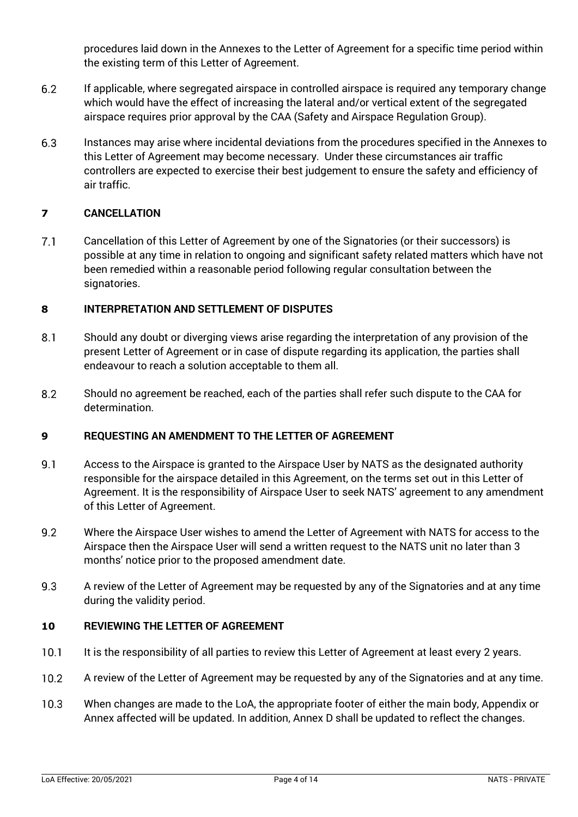procedures laid down in the Annexes to the Letter of Agreement for a specific time period within the existing term of this Letter of Agreement.

- $6.2$ If applicable, where segregated airspace in controlled airspace is required any temporary change which would have the effect of increasing the lateral and/or vertical extent of the segregated airspace requires prior approval by the CAA (Safety and Airspace Regulation Group).
- 6.3 Instances may arise where incidental deviations from the procedures specified in the Annexes to this Letter of Agreement may become necessary. Under these circumstances air traffic controllers are expected to exercise their best judgement to ensure the safety and efficiency of air traffic.

# **7 CANCELLATION**

 $7.1$ Cancellation of this Letter of Agreement by one of the Signatories (or their successors) is possible at any time in relation to ongoing and significant safety related matters which have not been remedied within a reasonable period following regular consultation between the signatories.

#### **8 INTERPRETATION AND SETTLEMENT OF DISPUTES**

- $8.1$ Should any doubt or diverging views arise regarding the interpretation of any provision of the present Letter of Agreement or in case of dispute regarding its application, the parties shall endeavour to reach a solution acceptable to them all.
- 8.2 Should no agreement be reached, each of the parties shall refer such dispute to the CAA for determination.

# **9 REQUESTING AN AMENDMENT TO THE LETTER OF AGREEMENT**

- $9.1$ Access to the Airspace is granted to the Airspace User by NATS as the designated authority responsible for the airspace detailed in this Agreement, on the terms set out in this Letter of Agreement. It is the responsibility of Airspace User to seek NATS' agreement to any amendment of this Letter of Agreement.
- $9.2$ Where the Airspace User wishes to amend the Letter of Agreement with NATS for access to the Airspace then the Airspace User will send a written request to the NATS unit no later than 3 months' notice prior to the proposed amendment date.
- 9.3 A review of the Letter of Agreement may be requested by any of the Signatories and at any time during the validity period.

# **10 REVIEWING THE LETTER OF AGREEMENT**

- $10.1$ It is the responsibility of all parties to review this Letter of Agreement at least every 2 years.
- $10.2$ A review of the Letter of Agreement may be requested by any of the Signatories and at any time.
- $10.3$ When changes are made to the LoA, the appropriate footer of either the main body, Appendix or Annex affected will be updated. In addition, Annex D shall be updated to reflect the changes.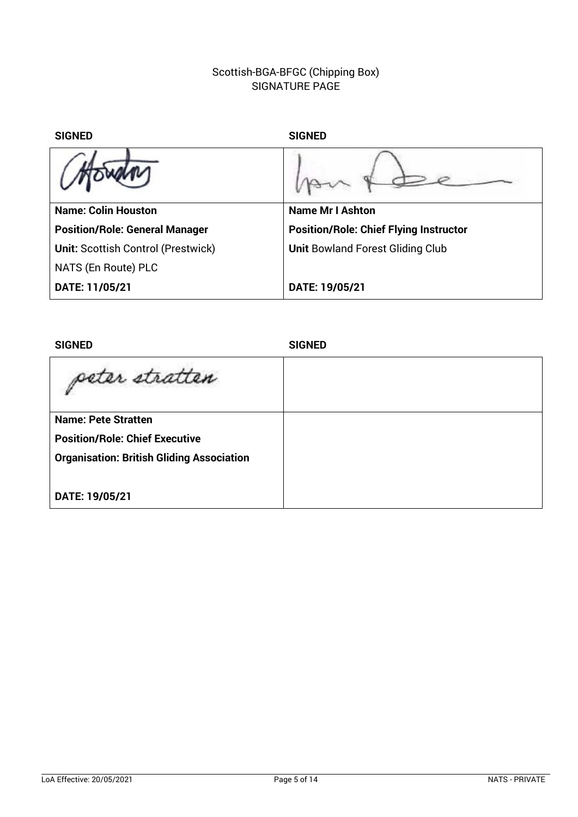# Scottish-BGA-BFGC (Chipping Box) SIGNATURE PAGE

| <b>SIGNED</b>                             | <b>SIGNED</b>                                 |  |
|-------------------------------------------|-----------------------------------------------|--|
|                                           |                                               |  |
| <b>Name: Colin Houston</b>                | <b>Name Mr I Ashton</b>                       |  |
| <b>Position/Role: General Manager</b>     | <b>Position/Role: Chief Flying Instructor</b> |  |
| <b>Unit: Scottish Control (Prestwick)</b> | <b>Unit Bowland Forest Gliding Club</b>       |  |
| NATS (En Route) PLC                       |                                               |  |
| DATE: 11/05/21                            | DATE: 19/05/21                                |  |
|                                           |                                               |  |

| <b>SIGNED</b>                                    | <b>SIGNED</b> |
|--------------------------------------------------|---------------|
| peter stratten                                   |               |
| <b>Name: Pete Stratten</b>                       |               |
| <b>Position/Role: Chief Executive</b>            |               |
| <b>Organisation: British Gliding Association</b> |               |
|                                                  |               |
| DATE: 19/05/21                                   |               |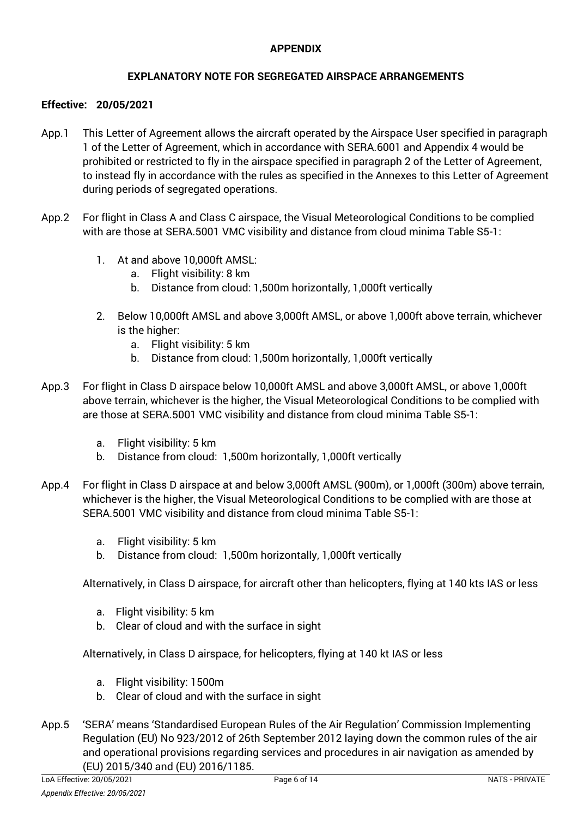### **APPENDIX**

# **EXPLANATORY NOTE FOR SEGREGATED AIRSPACE ARRANGEMENTS**

#### **Effective: 20/05/2021**

- App.1 This Letter of Agreement allows the aircraft operated by the Airspace User specified in paragraph 1 of the Letter of Agreement, which in accordance with SERA.6001 and Appendix 4 would be prohibited or restricted to fly in the airspace specified in paragraph 2 of the Letter of Agreement, to instead fly in accordance with the rules as specified in the Annexes to this Letter of Agreement during periods of segregated operations.
- App.2 For flight in Class A and Class C airspace, the Visual Meteorological Conditions to be complied with are those at SERA.5001 VMC visibility and distance from cloud minima Table S5-1:
	- 1. At and above 10,000ft AMSL:
		- a. Flight visibility: 8 km
		- b. Distance from cloud: 1,500m horizontally, 1,000ft vertically
	- 2. Below 10,000ft AMSL and above 3,000ft AMSL, or above 1,000ft above terrain, whichever is the higher:
		- a. Flight visibility: 5 km
		- b. Distance from cloud: 1,500m horizontally, 1,000ft vertically
- App.3 For flight in Class D airspace below 10,000ft AMSL and above 3,000ft AMSL, or above 1,000ft above terrain, whichever is the higher, the Visual Meteorological Conditions to be complied with are those at SERA.5001 VMC visibility and distance from cloud minima Table S5-1:
	- a. Flight visibility: 5 km
	- b. Distance from cloud: 1,500m horizontally, 1,000ft vertically
- App.4 For flight in Class D airspace at and below 3,000ft AMSL (900m), or 1,000ft (300m) above terrain, whichever is the higher, the Visual Meteorological Conditions to be complied with are those at SERA.5001 VMC visibility and distance from cloud minima Table S5-1:
	- a. Flight visibility: 5 km
	- b. Distance from cloud: 1,500m horizontally, 1,000ft vertically

Alternatively, in Class D airspace, for aircraft other than helicopters, flying at 140 kts IAS or less

- a. Flight visibility: 5 km
- b. Clear of cloud and with the surface in sight

Alternatively, in Class D airspace, for helicopters, flying at 140 kt IAS or less

- a. Flight visibility: 1500m
- b. Clear of cloud and with the surface in sight
- App.5 'SERA' means 'Standardised European Rules of the Air Regulation' Commission Implementing Regulation (EU) No 923/2012 of 26th September 2012 laying down the common rules of the air and operational provisions regarding services and procedures in air navigation as amended by (EU) 2015/340 and (EU) 2016/1185.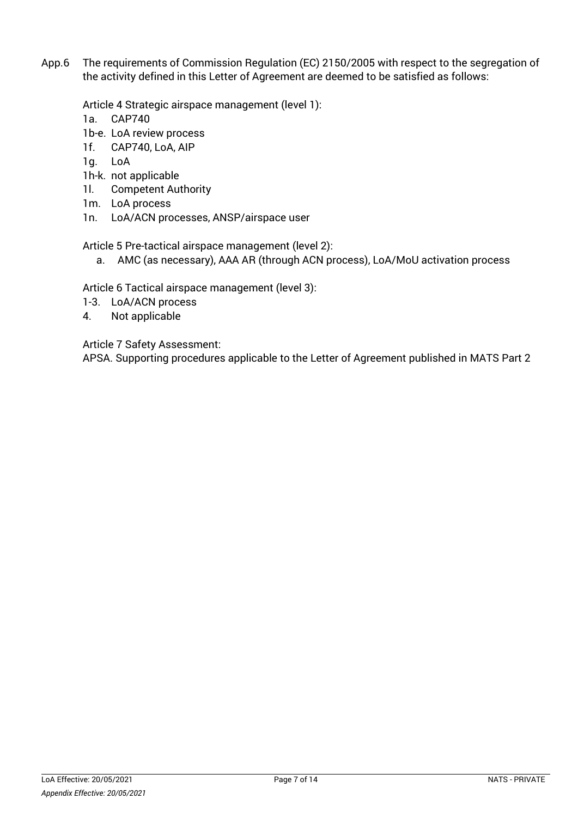App.6 The requirements of Commission Regulation (EC) 2150/2005 with respect to the segregation of the activity defined in this Letter of Agreement are deemed to be satisfied as follows:

Article 4 Strategic airspace management (level 1):

- 1a. CAP740
- 1b-e. LoA review process
- 1f. CAP740, LoA, AIP
- 1g. LoA
- 1h-k. not applicable
- 1l. Competent Authority
- 1m. LoA process
- 1n. LoA/ACN processes, ANSP/airspace user

Article 5 Pre-tactical airspace management (level 2):

a. AMC (as necessary), AAA AR (through ACN process), LoA/MoU activation process

Article 6 Tactical airspace management (level 3):

- 1-3. LoA/ACN process
- 4. Not applicable

Article 7 Safety Assessment:

APSA. Supporting procedures applicable to the Letter of Agreement published in MATS Part 2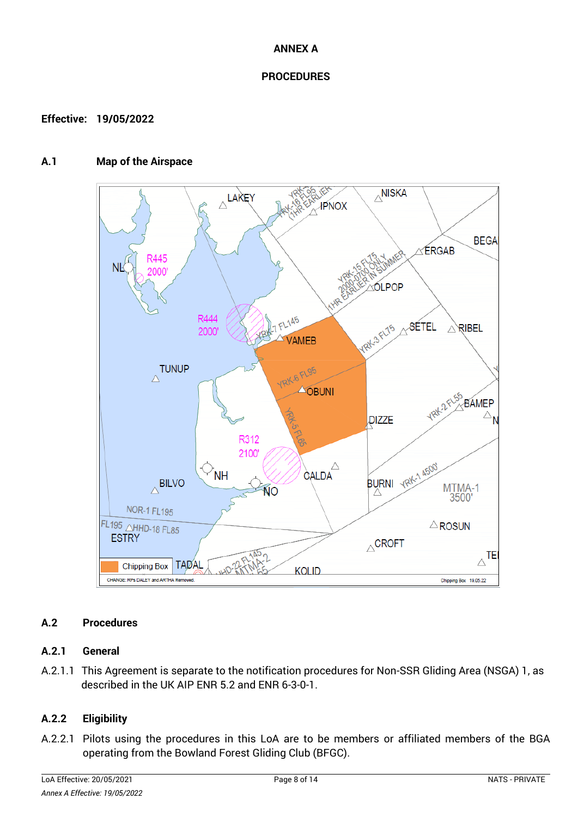#### **ANNEX A**

#### **PROCEDURES**

#### **Effective: 19/05/2022**

#### **A.1 Map of the Airspace**



# **A.2 Procedures**

#### **A.2.1 General**

A.2.1.1 This Agreement is separate to the notification procedures for Non-SSR Gliding Area (NSGA) 1, as described in the UK AIP ENR 5.2 and ENR 6-3-0-1.

# **A.2.2 Eligibility**

A.2.2.1 Pilots using the procedures in this LoA are to be members or affiliated members of the BGA operating from the Bowland Forest Gliding Club (BFGC).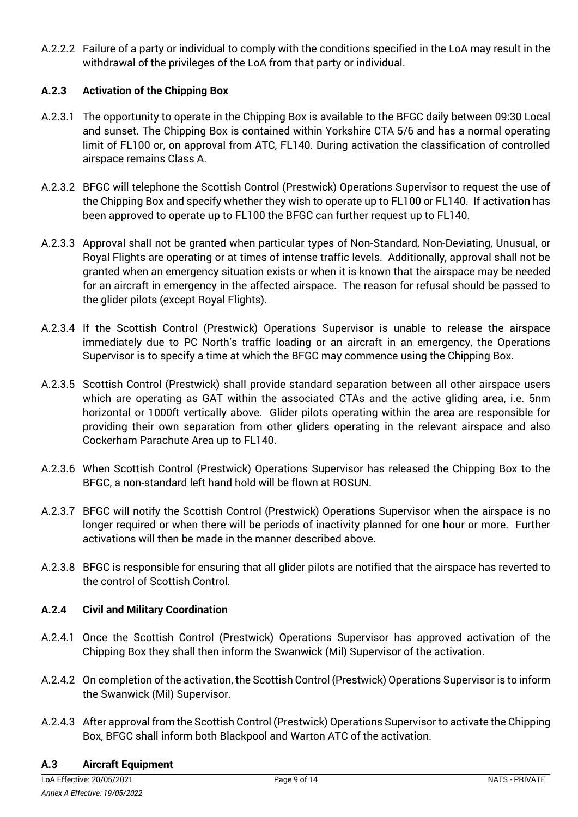A.2.2.2 Failure of a party or individual to comply with the conditions specified in the LoA may result in the withdrawal of the privileges of the LoA from that party or individual.

# **A.2.3 Activation of the Chipping Box**

- A.2.3.1 The opportunity to operate in the Chipping Box is available to the BFGC daily between 09:30 Local and sunset. The Chipping Box is contained within Yorkshire CTA 5/6 and has a normal operating limit of FL100 or, on approval from ATC, FL140. During activation the classification of controlled airspace remains Class A.
- A.2.3.2 BFGC will telephone the Scottish Control (Prestwick) Operations Supervisor to request the use of the Chipping Box and specify whether they wish to operate up to FL100 or FL140. If activation has been approved to operate up to FL100 the BFGC can further request up to FL140.
- A.2.3.3 Approval shall not be granted when particular types of Non-Standard, Non-Deviating, Unusual, or Royal Flights are operating or at times of intense traffic levels. Additionally, approval shall not be granted when an emergency situation exists or when it is known that the airspace may be needed for an aircraft in emergency in the affected airspace. The reason for refusal should be passed to the glider pilots (except Royal Flights).
- A.2.3.4 If the Scottish Control (Prestwick) Operations Supervisor is unable to release the airspace immediately due to PC North's traffic loading or an aircraft in an emergency, the Operations Supervisor is to specify a time at which the BFGC may commence using the Chipping Box.
- A.2.3.5 Scottish Control (Prestwick) shall provide standard separation between all other airspace users which are operating as GAT within the associated CTAs and the active gliding area, i.e. 5nm horizontal or 1000ft vertically above. Glider pilots operating within the area are responsible for providing their own separation from other gliders operating in the relevant airspace and also Cockerham Parachute Area up to FL140.
- A.2.3.6 When Scottish Control (Prestwick) Operations Supervisor has released the Chipping Box to the BFGC, a non-standard left hand hold will be flown at ROSUN.
- A.2.3.7 BFGC will notify the Scottish Control (Prestwick) Operations Supervisor when the airspace is no longer required or when there will be periods of inactivity planned for one hour or more. Further activations will then be made in the manner described above.
- A.2.3.8 BFGC is responsible for ensuring that all glider pilots are notified that the airspace has reverted to the control of Scottish Control.

# **A.2.4 Civil and Military Coordination**

- A.2.4.1 Once the Scottish Control (Prestwick) Operations Supervisor has approved activation of the Chipping Box they shall then inform the Swanwick (Mil) Supervisor of the activation.
- A.2.4.2 On completion of the activation, the Scottish Control (Prestwick) Operations Supervisor is to inform the Swanwick (Mil) Supervisor.
- A.2.4.3 After approval from the Scottish Control (Prestwick) Operations Supervisor to activate the Chipping Box, BFGC shall inform both Blackpool and Warton ATC of the activation.

#### **A.3 Aircraft Equipment**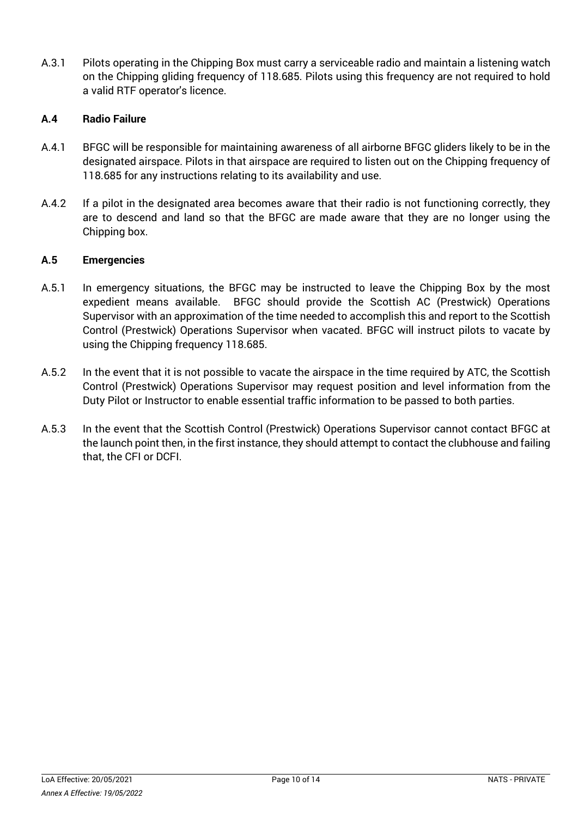A.3.1 Pilots operating in the Chipping Box must carry a serviceable radio and maintain a listening watch on the Chipping gliding frequency of 118.685. Pilots using this frequency are not required to hold a valid RTF operator's licence.

# **A.4 Radio Failure**

- A.4.1 BFGC will be responsible for maintaining awareness of all airborne BFGC gliders likely to be in the designated airspace. Pilots in that airspace are required to listen out on the Chipping frequency of 118.685 for any instructions relating to its availability and use.
- A.4.2 If a pilot in the designated area becomes aware that their radio is not functioning correctly, they are to descend and land so that the BFGC are made aware that they are no longer using the Chipping box.

# **A.5 Emergencies**

- A.5.1 In emergency situations, the BFGC may be instructed to leave the Chipping Box by the most expedient means available. BFGC should provide the Scottish AC (Prestwick) Operations Supervisor with an approximation of the time needed to accomplish this and report to the Scottish Control (Prestwick) Operations Supervisor when vacated. BFGC will instruct pilots to vacate by using the Chipping frequency 118.685.
- A.5.2 In the event that it is not possible to vacate the airspace in the time required by ATC, the Scottish Control (Prestwick) Operations Supervisor may request position and level information from the Duty Pilot or Instructor to enable essential traffic information to be passed to both parties.
- A.5.3 In the event that the Scottish Control (Prestwick) Operations Supervisor cannot contact BFGC at the launch point then, in the first instance, they should attempt to contact the clubhouse and failing that, the CFI or DCFI.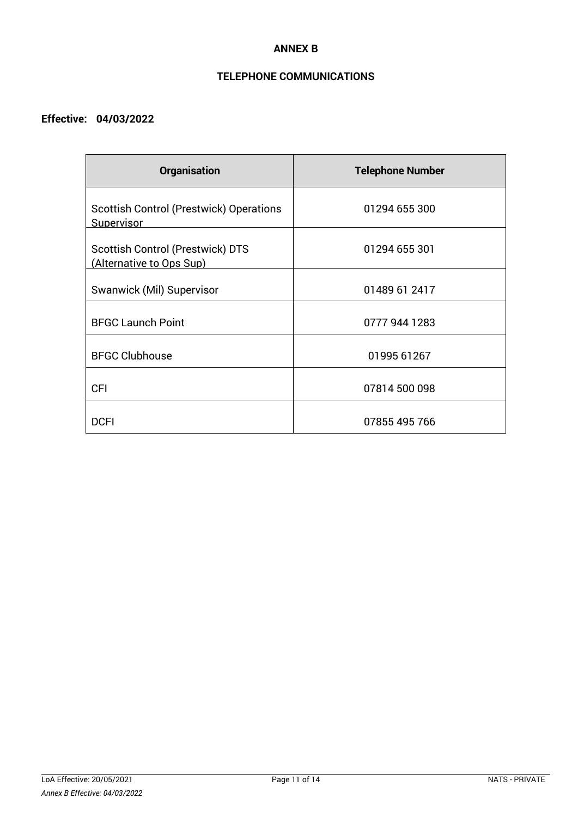#### **ANNEX B**

# **TELEPHONE COMMUNICATIONS**

# **Effective: 04/03/2022**

| <b>Organisation</b>                                                 | <b>Telephone Number</b> |
|---------------------------------------------------------------------|-------------------------|
| <b>Scottish Control (Prestwick) Operations</b><br><b>Supervisor</b> | 01294 655 300           |
| <b>Scottish Control (Prestwick) DTS</b><br>(Alternative to Ops Sup) | 01294 655 301           |
| Swanwick (Mil) Supervisor                                           | 01489 61 2417           |
| <b>BFGC Launch Point</b>                                            | 0777 944 1283           |
| <b>BFGC Clubhouse</b>                                               | 01995 61267             |
| <b>CFI</b>                                                          | 07814 500 098           |
| <b>DCFI</b>                                                         | 07855 495 766           |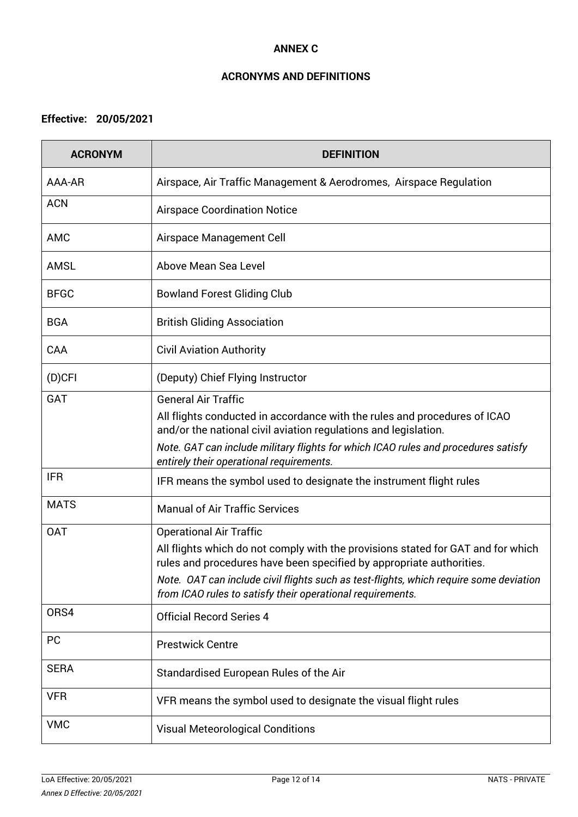#### **ANNEX C**

# **ACRONYMS AND DEFINITIONS**

# **Effective: 20/05/2021**

| <b>ACRONYM</b> | <b>DEFINITION</b>                                                                                                                                                                                                                                                                                                                                  |
|----------------|----------------------------------------------------------------------------------------------------------------------------------------------------------------------------------------------------------------------------------------------------------------------------------------------------------------------------------------------------|
| AAA-AR         | Airspace, Air Traffic Management & Aerodromes, Airspace Regulation                                                                                                                                                                                                                                                                                 |
| <b>ACN</b>     | <b>Airspace Coordination Notice</b>                                                                                                                                                                                                                                                                                                                |
| <b>AMC</b>     | Airspace Management Cell                                                                                                                                                                                                                                                                                                                           |
| <b>AMSL</b>    | Above Mean Sea Level                                                                                                                                                                                                                                                                                                                               |
| <b>BFGC</b>    | <b>Bowland Forest Gliding Club</b>                                                                                                                                                                                                                                                                                                                 |
| <b>BGA</b>     | <b>British Gliding Association</b>                                                                                                                                                                                                                                                                                                                 |
| CAA            | <b>Civil Aviation Authority</b>                                                                                                                                                                                                                                                                                                                    |
| $(D)$ CFI      | (Deputy) Chief Flying Instructor                                                                                                                                                                                                                                                                                                                   |
| <b>GAT</b>     | <b>General Air Traffic</b><br>All flights conducted in accordance with the rules and procedures of ICAO<br>and/or the national civil aviation regulations and legislation.<br>Note. GAT can include military flights for which ICAO rules and procedures satisfy<br>entirely their operational requirements.                                       |
| <b>IFR</b>     | IFR means the symbol used to designate the instrument flight rules                                                                                                                                                                                                                                                                                 |
| <b>MATS</b>    | <b>Manual of Air Traffic Services</b>                                                                                                                                                                                                                                                                                                              |
| <b>OAT</b>     | <b>Operational Air Traffic</b><br>All flights which do not comply with the provisions stated for GAT and for which<br>rules and procedures have been specified by appropriate authorities.<br>Note. OAT can include civil flights such as test-flights, which require some deviation<br>from ICAO rules to satisfy their operational requirements. |
| ORS4           | <b>Official Record Series 4</b>                                                                                                                                                                                                                                                                                                                    |
| <b>PC</b>      | <b>Prestwick Centre</b>                                                                                                                                                                                                                                                                                                                            |
| <b>SERA</b>    | Standardised European Rules of the Air                                                                                                                                                                                                                                                                                                             |
| <b>VFR</b>     | VFR means the symbol used to designate the visual flight rules                                                                                                                                                                                                                                                                                     |
| <b>VMC</b>     | <b>Visual Meteorological Conditions</b>                                                                                                                                                                                                                                                                                                            |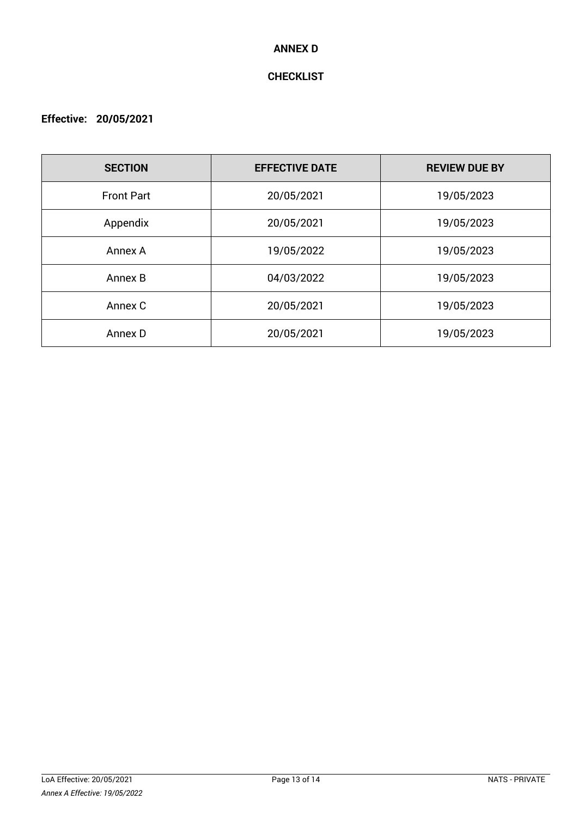#### **ANNEX D**

# **CHECKLIST**

# **Effective: 20/05/2021**

| <b>SECTION</b>    | <b>EFFECTIVE DATE</b> | <b>REVIEW DUE BY</b> |
|-------------------|-----------------------|----------------------|
| <b>Front Part</b> | 20/05/2021            | 19/05/2023           |
| Appendix          | 20/05/2021            | 19/05/2023           |
| Annex A           | 19/05/2022            | 19/05/2023           |
| Annex B           | 04/03/2022            | 19/05/2023           |
| Annex C           | 20/05/2021            | 19/05/2023           |
| Annex D           | 20/05/2021            | 19/05/2023           |